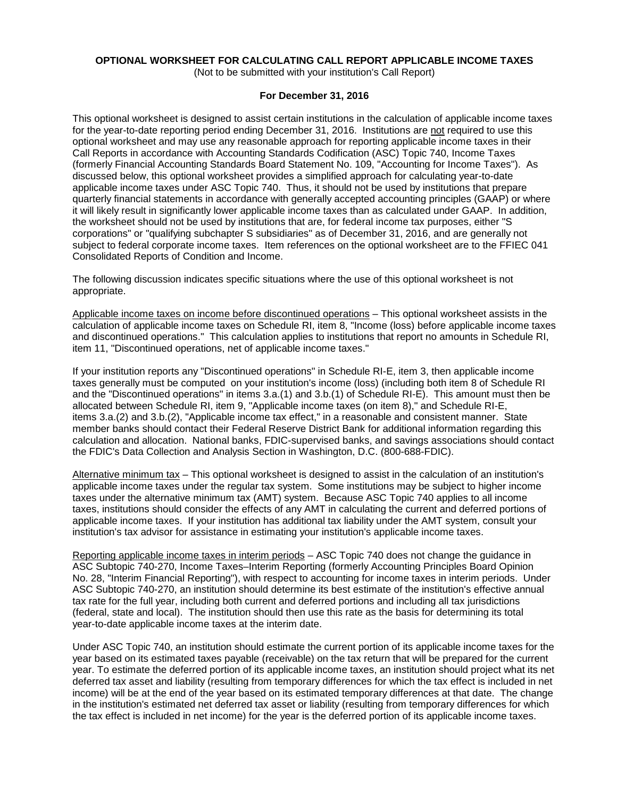# **OPTIONAL WORKSHEET FOR CALCULATING CALL REPORT APPLICABLE INCOME TAXES**

(Not to be submitted with your institution's Call Report)

#### **For December 31, 2016**

This optional worksheet is designed to assist certain institutions in the calculation of applicable income taxes for the year-to-date reporting period ending December 31, 2016. Institutions are not required to use this optional worksheet and may use any reasonable approach for reporting applicable income taxes in their Call Reports in accordance with Accounting Standards Codification (ASC) Topic 740, Income Taxes (formerly Financial Accounting Standards Board Statement No. 109, "Accounting for Income Taxes"). As discussed below, this optional worksheet provides a simplified approach for calculating year-to-date applicable income taxes under ASC Topic 740. Thus, it should not be used by institutions that prepare quarterly financial statements in accordance with generally accepted accounting principles (GAAP) or where it will likely result in significantly lower applicable income taxes than as calculated under GAAP. In addition, the worksheet should not be used by institutions that are, for federal income tax purposes, either "S corporations" or "qualifying subchapter S subsidiaries" as of December 31, 2016, and are generally not subject to federal corporate income taxes. Item references on the optional worksheet are to the FFIEC 041 Consolidated Reports of Condition and Income.

The following discussion indicates specific situations where the use of this optional worksheet is not appropriate.

Applicable income taxes on income before discontinued operations – This optional worksheet assists in the calculation of applicable income taxes on Schedule RI, item 8, "Income (loss) before applicable income taxes and discontinued operations." This calculation applies to institutions that report no amounts in Schedule RI, item 11, "Discontinued operations, net of applicable income taxes."

If your institution reports any "Discontinued operations" in Schedule RI-E, item 3, then applicable income taxes generally must be computed on your institution's income (loss) (including both item 8 of Schedule RI and the "Discontinued operations" in items 3.a.(1) and 3.b.(1) of Schedule RI-E). This amount must then be allocated between Schedule RI, item 9, "Applicable income taxes (on item 8)," and Schedule RI-E, items 3.a.(2) and 3.b.(2), "Applicable income tax effect," in a reasonable and consistent manner. State member banks should contact their Federal Reserve District Bank for additional information regarding this calculation and allocation. National banks, FDIC-supervised banks, and savings associations should contact the FDIC's Data Collection and Analysis Section in Washington, D.C. (800-688-FDIC).

Alternative minimum tax – This optional worksheet is designed to assist in the calculation of an institution's applicable income taxes under the regular tax system. Some institutions may be subject to higher income taxes under the alternative minimum tax (AMT) system. Because ASC Topic 740 applies to all income taxes, institutions should consider the effects of any AMT in calculating the current and deferred portions of applicable income taxes. If your institution has additional tax liability under the AMT system, consult your institution's tax advisor for assistance in estimating your institution's applicable income taxes.

Reporting applicable income taxes in interim periods – ASC Topic 740 does not change the guidance in ASC Subtopic 740-270, Income Taxes–Interim Reporting (formerly Accounting Principles Board Opinion No. 28, "Interim Financial Reporting"), with respect to accounting for income taxes in interim periods. Under ASC Subtopic 740-270, an institution should determine its best estimate of the institution's effective annual tax rate for the full year, including both current and deferred portions and including all tax jurisdictions (federal, state and local). The institution should then use this rate as the basis for determining its total year-to-date applicable income taxes at the interim date.

Under ASC Topic 740, an institution should estimate the current portion of its applicable income taxes for the year based on its estimated taxes payable (receivable) on the tax return that will be prepared for the current year. To estimate the deferred portion of its applicable income taxes, an institution should project what its net deferred tax asset and liability (resulting from temporary differences for which the tax effect is included in net income) will be at the end of the year based on its estimated temporary differences at that date. The change in the institution's estimated net deferred tax asset or liability (resulting from temporary differences for which the tax effect is included in net income) for the year is the deferred portion of its applicable income taxes.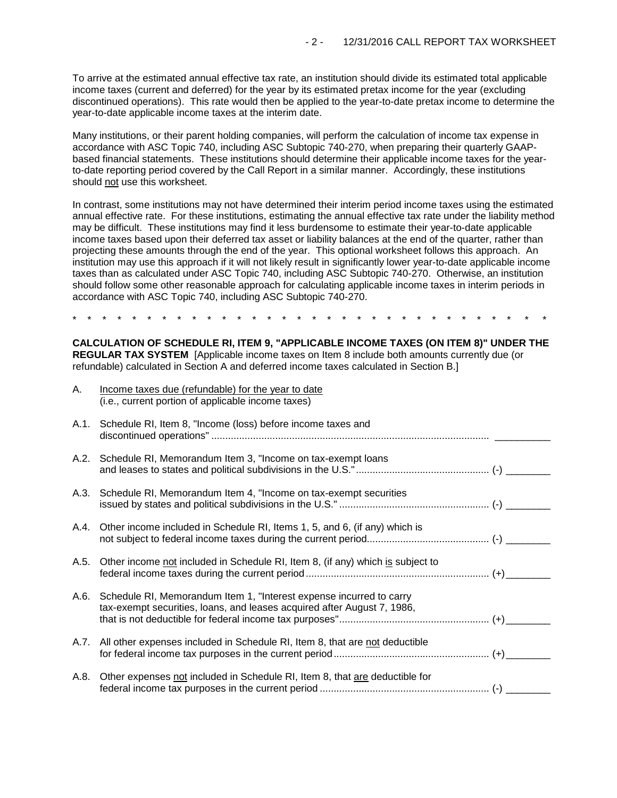To arrive at the estimated annual effective tax rate, an institution should divide its estimated total applicable income taxes (current and deferred) for the year by its estimated pretax income for the year (excluding discontinued operations). This rate would then be applied to the year-to-date pretax income to determine the year-to-date applicable income taxes at the interim date.

Many institutions, or their parent holding companies, will perform the calculation of income tax expense in accordance with ASC Topic 740, including ASC Subtopic 740-270, when preparing their quarterly GAAPbased financial statements. These institutions should determine their applicable income taxes for the yearto-date reporting period covered by the Call Report in a similar manner. Accordingly, these institutions should not use this worksheet.

In contrast, some institutions may not have determined their interim period income taxes using the estimated annual effective rate. For these institutions, estimating the annual effective tax rate under the liability method may be difficult. These institutions may find it less burdensome to estimate their year-to-date applicable income taxes based upon their deferred tax asset or liability balances at the end of the quarter, rather than projecting these amounts through the end of the year. This optional worksheet follows this approach. An institution may use this approach if it will not likely result in significantly lower year-to-date applicable income taxes than as calculated under ASC Topic 740, including ASC Subtopic 740-270. Otherwise, an institution should follow some other reasonable approach for calculating applicable income taxes in interim periods in accordance with ASC Topic 740, including ASC Subtopic 740-270.

\* \* \* \* \* \* \* \* \* \* \* \* \* \* \* \* \* \* \* \* \* \* \* \* \* \* \* \* \* \* \* \*

**CALCULATION OF SCHEDULE RI, ITEM 9, "APPLICABLE INCOME TAXES (ON ITEM 8)" UNDER THE REGULAR TAX SYSTEM** [Applicable income taxes on Item 8 include both amounts currently due (or refundable) calculated in Section A and deferred income taxes calculated in Section B.]

| A.   | Income taxes due (refundable) for the year to date<br>(i.e., current portion of applicable income taxes)                                       |  |
|------|------------------------------------------------------------------------------------------------------------------------------------------------|--|
| A.1. | Schedule RI, Item 8, "Income (loss) before income taxes and                                                                                    |  |
|      | A.2. Schedule RI, Memorandum Item 3, "Income on tax-exempt loans                                                                               |  |
|      | A.3. Schedule RI, Memorandum Item 4, "Income on tax-exempt securities                                                                          |  |
|      | A.4. Other income included in Schedule RI, Items 1, 5, and 6, (if any) which is                                                                |  |
| A.5. | Other income not included in Schedule RI, Item 8, (if any) which is subject to                                                                 |  |
| A.6. | Schedule RI, Memorandum Item 1, "Interest expense incurred to carry<br>tax-exempt securities, loans, and leases acquired after August 7, 1986, |  |
|      | A.7. All other expenses included in Schedule RI, Item 8, that are not deductible                                                               |  |
| A.8. | Other expenses not included in Schedule RI, Item 8, that are deductible for                                                                    |  |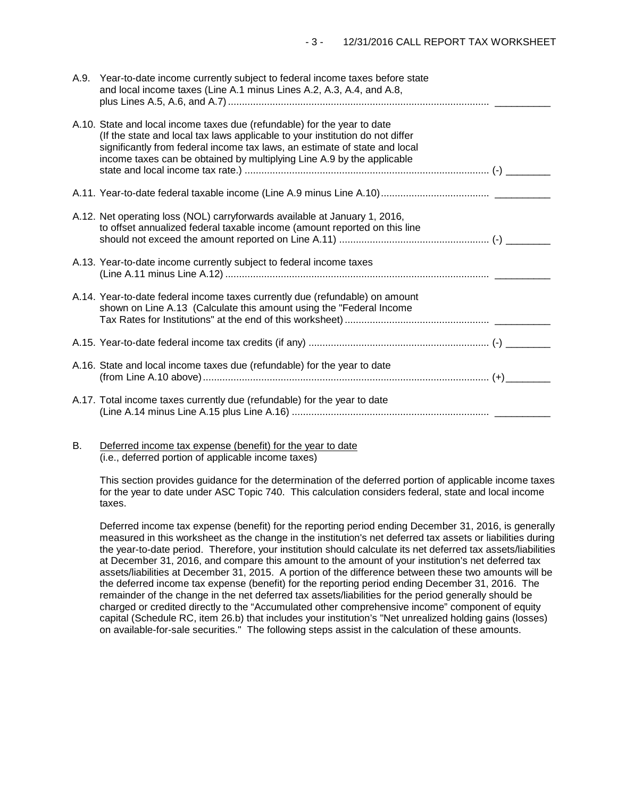| A.9. Year-to-date income currently subject to federal income taxes before state<br>and local income taxes (Line A.1 minus Lines A.2, A.3, A.4, and A.8,<br>plus Lines A.5, A.6, and A.7) ………………………………………………………………………………………                                                                                        |  |
|-------------------------------------------------------------------------------------------------------------------------------------------------------------------------------------------------------------------------------------------------------------------------------------------------------------------|--|
| A.10. State and local income taxes due (refundable) for the year to date<br>(If the state and local tax laws applicable to your institution do not differ<br>significantly from federal income tax laws, an estimate of state and local<br>income taxes can be obtained by multiplying Line A.9 by the applicable |  |
|                                                                                                                                                                                                                                                                                                                   |  |
| A.12. Net operating loss (NOL) carryforwards available at January 1, 2016,<br>to offset annualized federal taxable income (amount reported on this line                                                                                                                                                           |  |
| A.13. Year-to-date income currently subject to federal income taxes                                                                                                                                                                                                                                               |  |
| A.14. Year-to-date federal income taxes currently due (refundable) on amount<br>shown on Line A.13 (Calculate this amount using the "Federal Income                                                                                                                                                               |  |
|                                                                                                                                                                                                                                                                                                                   |  |
| A.16. State and local income taxes due (refundable) for the year to date                                                                                                                                                                                                                                          |  |
| A.17. Total income taxes currently due (refundable) for the year to date                                                                                                                                                                                                                                          |  |

B. Deferred income tax expense (benefit) for the year to date (i.e., deferred portion of applicable income taxes)

This section provides guidance for the determination of the deferred portion of applicable income taxes for the year to date under ASC Topic 740. This calculation considers federal, state and local income taxes.

Deferred income tax expense (benefit) for the reporting period ending December 31, 2016, is generally measured in this worksheet as the change in the institution's net deferred tax assets or liabilities during the year-to-date period. Therefore, your institution should calculate its net deferred tax assets/liabilities at December 31, 2016, and compare this amount to the amount of your institution's net deferred tax assets/liabilities at December 31, 2015. A portion of the difference between these two amounts will be the deferred income tax expense (benefit) for the reporting period ending December 31, 2016. The remainder of the change in the net deferred tax assets/liabilities for the period generally should be charged or credited directly to the "Accumulated other comprehensive income" component of equity capital (Schedule RC, item 26.b) that includes your institution's "Net unrealized holding gains (losses) on available-for-sale securities." The following steps assist in the calculation of these amounts.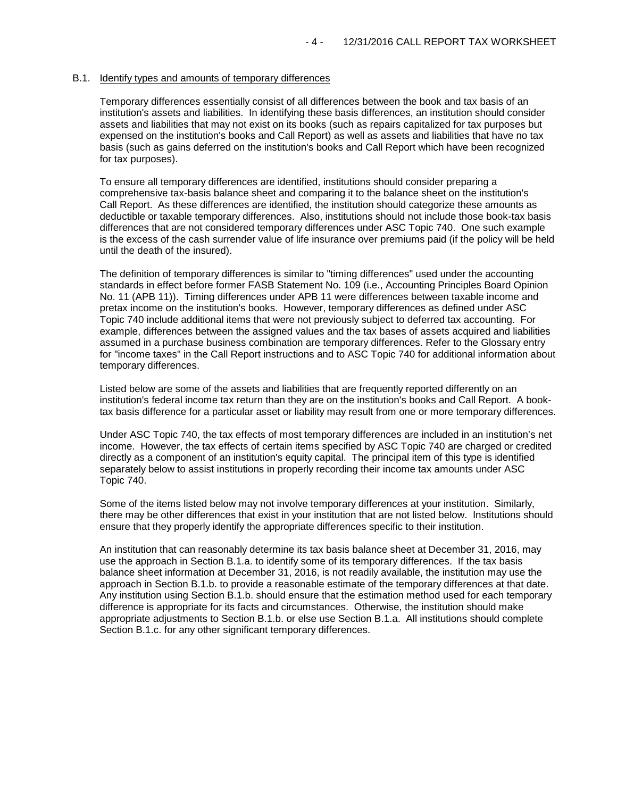#### B.1. Identify types and amounts of temporary differences

Temporary differences essentially consist of all differences between the book and tax basis of an institution's assets and liabilities. In identifying these basis differences, an institution should consider assets and liabilities that may not exist on its books (such as repairs capitalized for tax purposes but expensed on the institution's books and Call Report) as well as assets and liabilities that have no tax basis (such as gains deferred on the institution's books and Call Report which have been recognized for tax purposes).

To ensure all temporary differences are identified, institutions should consider preparing a comprehensive tax-basis balance sheet and comparing it to the balance sheet on the institution's Call Report. As these differences are identified, the institution should categorize these amounts as deductible or taxable temporary differences. Also, institutions should not include those book-tax basis differences that are not considered temporary differences under ASC Topic 740. One such example is the excess of the cash surrender value of life insurance over premiums paid (if the policy will be held until the death of the insured).

The definition of temporary differences is similar to "timing differences" used under the accounting standards in effect before former FASB Statement No. 109 (i.e., Accounting Principles Board Opinion No. 11 (APB 11)). Timing differences under APB 11 were differences between taxable income and pretax income on the institution's books. However, temporary differences as defined under ASC Topic 740 include additional items that were not previously subject to deferred tax accounting. For example, differences between the assigned values and the tax bases of assets acquired and liabilities assumed in a purchase business combination are temporary differences. Refer to the Glossary entry for "income taxes" in the Call Report instructions and to ASC Topic 740 for additional information about temporary differences.

Listed below are some of the assets and liabilities that are frequently reported differently on an institution's federal income tax return than they are on the institution's books and Call Report. A booktax basis difference for a particular asset or liability may result from one or more temporary differences.

Under ASC Topic 740, the tax effects of most temporary differences are included in an institution's net income. However, the tax effects of certain items specified by ASC Topic 740 are charged or credited directly as a component of an institution's equity capital. The principal item of this type is identified separately below to assist institutions in properly recording their income tax amounts under ASC Topic 740.

Some of the items listed below may not involve temporary differences at your institution. Similarly, there may be other differences that exist in your institution that are not listed below. Institutions should ensure that they properly identify the appropriate differences specific to their institution.

An institution that can reasonably determine its tax basis balance sheet at December 31, 2016, may use the approach in Section B.1.a. to identify some of its temporary differences. If the tax basis balance sheet information at December 31, 2016, is not readily available, the institution may use the approach in Section B.1.b. to provide a reasonable estimate of the temporary differences at that date. Any institution using Section B.1.b. should ensure that the estimation method used for each temporary difference is appropriate for its facts and circumstances. Otherwise, the institution should make appropriate adjustments to Section B.1.b. or else use Section B.1.a. All institutions should complete Section B.1.c. for any other significant temporary differences.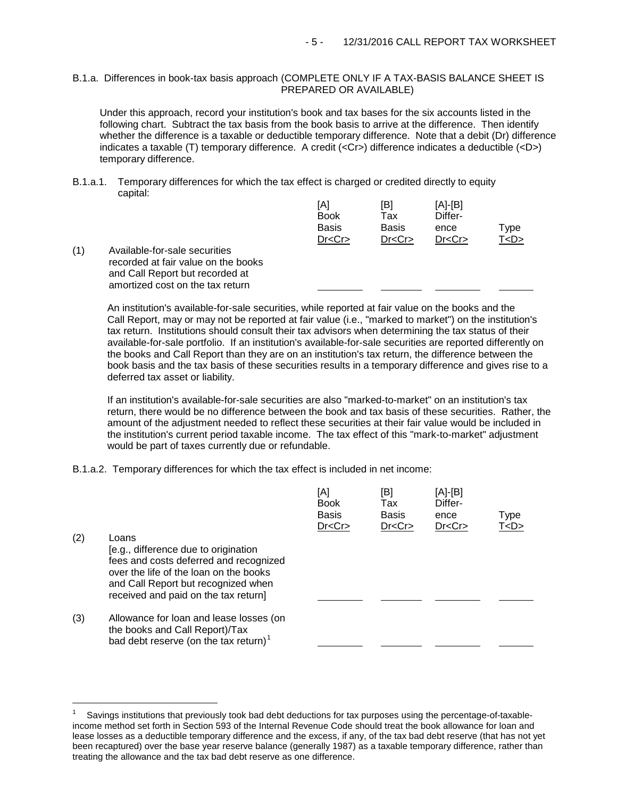## B.1.a. Differences in book-tax basis approach (COMPLETE ONLY IF A TAX-BASIS BALANCE SHEET IS PREPARED OR AVAILABLE)

Under this approach, record your institution's book and tax bases for the six accounts listed in the following chart. Subtract the tax basis from the book basis to arrive at the difference. Then identify whether the difference is a taxable or deductible temporary difference. Note that a debit (Dr) difference indicates a taxable (T) temporary difference. A credit (<Cr>) difference indicates a deductible (<D>) temporary difference.

B.1.a.1. Temporary differences for which the tax effect is charged or credited directly to equity capital:

|     |                                                                                                                                             | [A]<br><b>Book</b> | [B]<br>Tax   | $[A]-[B]$<br>Differ- |           |  |
|-----|---------------------------------------------------------------------------------------------------------------------------------------------|--------------------|--------------|----------------------|-----------|--|
|     |                                                                                                                                             | <b>Basis</b>       | <b>Basis</b> | ence                 | Type      |  |
|     |                                                                                                                                             | Dr < Cr            | Dr < Cr      | Dr < Cr              | T <d></d> |  |
| (1) | Available-for-sale securities<br>recorded at fair value on the books<br>and Call Report but recorded at<br>amortized cost on the tax return |                    |              |                      |           |  |

An institution's available-for-sale securities, while reported at fair value on the books and the Call Report, may or may not be reported at fair value (i.e., "marked to market") on the institution's tax return. Institutions should consult their tax advisors when determining the tax status of their available-for-sale portfolio. If an institution's available-for-sale securities are reported differently on the books and Call Report than they are on an institution's tax return, the difference between the book basis and the tax basis of these securities results in a temporary difference and gives rise to a deferred tax asset or liability.

If an institution's available-for-sale securities are also "marked-to-market" on an institution's tax return, there would be no difference between the book and tax basis of these securities. Rather, the amount of the adjustment needed to reflect these securities at their fair value would be included in the institution's current period taxable income. The tax effect of this "mark-to-market" adjustment would be part of taxes currently due or refundable.

B.1.a.2. Temporary differences for which the tax effect is included in net income:

÷,

|     |                                                                                                                                                                                                                  | [A]<br><b>Book</b><br><b>Basis</b><br>Dr < Cr | [B]<br>Tax<br><b>Basis</b><br>Dr < Cr | [A]-[B]<br>Differ-<br>ence<br>Dr < Cr | <b>Type</b><br>T < D > |
|-----|------------------------------------------------------------------------------------------------------------------------------------------------------------------------------------------------------------------|-----------------------------------------------|---------------------------------------|---------------------------------------|------------------------|
| (2) | Loans<br>[e.g., difference due to origination<br>fees and costs deferred and recognized<br>over the life of the loan on the books<br>and Call Report but recognized when<br>received and paid on the tax return] |                                               |                                       |                                       |                        |
| (3) | Allowance for loan and lease losses (on<br>the books and Call Report)/Tax<br>bad debt reserve (on the tax return) <sup>1</sup>                                                                                   |                                               |                                       |                                       |                        |

<span id="page-4-0"></span><sup>1</sup> Savings institutions that previously took bad debt deductions for tax purposes using the percentage-of-taxableincome method set forth in Section 593 of the Internal Revenue Code should treat the book allowance for loan and lease losses as a deductible temporary difference and the excess, if any, of the tax bad debt reserve (that has not yet been recaptured) over the base year reserve balance (generally 1987) as a taxable temporary difference, rather than treating the allowance and the tax bad debt reserve as one difference.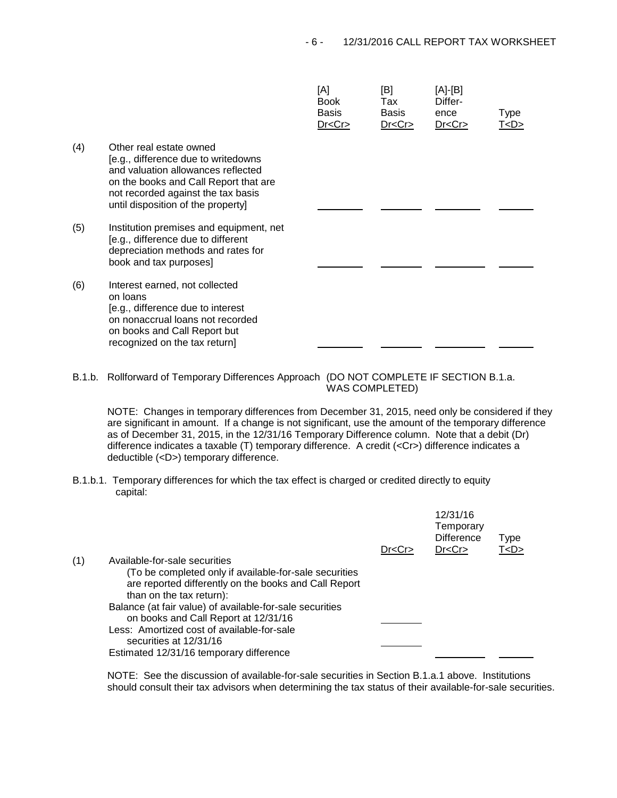$[AA]$ 

 $[DB]$ 

|     |                                                                                                                                                                                                                           | [A]<br><b>Book</b><br>Basis<br>Dr < Cr | l⊡]<br>Tax<br>Basis<br>Dr < Cr | [A]-[D]<br>Differ-<br>ence<br>Dr < Cr | Type<br>T <d></d> |
|-----|---------------------------------------------------------------------------------------------------------------------------------------------------------------------------------------------------------------------------|----------------------------------------|--------------------------------|---------------------------------------|-------------------|
| (4) | Other real estate owned<br>[e.g., difference due to writedowns<br>and valuation allowances reflected<br>on the books and Call Report that are<br>not recorded against the tax basis<br>until disposition of the property] |                                        |                                |                                       |                   |
| (5) | Institution premises and equipment, net<br>[e.g., difference due to different<br>depreciation methods and rates for<br>book and tax purposes]                                                                             |                                        |                                |                                       |                   |
| (6) | Interest earned, not collected<br>on loans<br>[e.g., difference due to interest<br>on nonaccrual loans not recorded<br>on books and Call Report but<br>recognized on the tax return]                                      |                                        |                                |                                       |                   |

 $\overline{A}$ 

B.1.b. Rollforward of Temporary Differences Approach (DO NOT COMPLETE IF SECTION B.1.a. WAS COMPLETED)

NOTE: Changes in temporary differences from December 31, 2015, need only be considered if they are significant in amount. If a change is not significant, use the amount of the temporary difference as of December 31, 2015, in the 12/31/16 Temporary Difference column. Note that a debit (Dr) difference indicates a taxable (T) temporary difference. A credit (<Cr>) difference indicates a deductible (<D>) temporary difference.

B.1.b.1. Temporary differences for which the tax effect is charged or credited directly to equity capital:

|     |                                                                                                                                             | Dr < Cr | 12/31/16<br>Temporary<br><b>Difference</b><br>Dr < Cr | <b>Type</b><br>T < D > |  |
|-----|---------------------------------------------------------------------------------------------------------------------------------------------|---------|-------------------------------------------------------|------------------------|--|
| (1) | Available-for-sale securities                                                                                                               |         |                                                       |                        |  |
|     | (To be completed only if available-for-sale securities<br>are reported differently on the books and Call Report<br>than on the tax return): |         |                                                       |                        |  |
|     | Balance (at fair value) of available-for-sale securities                                                                                    |         |                                                       |                        |  |
|     | on books and Call Report at 12/31/16                                                                                                        |         |                                                       |                        |  |
|     | Less: Amortized cost of available-for-sale                                                                                                  |         |                                                       |                        |  |
|     | securities at 12/31/16                                                                                                                      |         |                                                       |                        |  |
|     | Estimated 12/31/16 temporary difference                                                                                                     |         |                                                       |                        |  |

NOTE: See the discussion of available-for-sale securities in Section B.1.a.1 above. Institutions should consult their tax advisors when determining the tax status of their available-for-sale securities.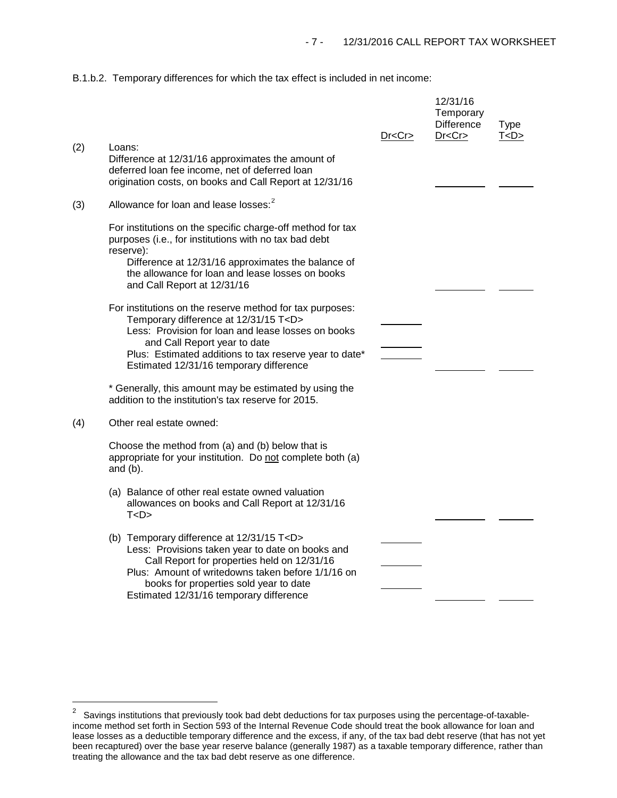B.1.b.2. Temporary differences for which the tax effect is included in net income:

|     |                                                                                                                                                                                                                                                                                                       | Dr <cr></cr> | 12/31/16<br>Temporary<br><b>Difference</b><br>Dr < Cr | <b>Type</b><br>T <d></d> |
|-----|-------------------------------------------------------------------------------------------------------------------------------------------------------------------------------------------------------------------------------------------------------------------------------------------------------|--------------|-------------------------------------------------------|--------------------------|
| (2) | Loans:<br>Difference at 12/31/16 approximates the amount of<br>deferred loan fee income, net of deferred loan<br>origination costs, on books and Call Report at 12/31/16                                                                                                                              |              |                                                       |                          |
| (3) | Allowance for loan and lease losses: <sup>2</sup>                                                                                                                                                                                                                                                     |              |                                                       |                          |
|     | For institutions on the specific charge-off method for tax<br>purposes (i.e., for institutions with no tax bad debt<br>reserve):                                                                                                                                                                      |              |                                                       |                          |
|     | Difference at 12/31/16 approximates the balance of<br>the allowance for loan and lease losses on books<br>and Call Report at 12/31/16                                                                                                                                                                 |              |                                                       |                          |
|     | For institutions on the reserve method for tax purposes:<br>Temporary difference at 12/31/15 T <d><br/>Less: Provision for loan and lease losses on books<br/>and Call Report year to date<br/>Plus: Estimated additions to tax reserve year to date*<br/>Estimated 12/31/16 temporary difference</d> |              |                                                       |                          |
|     | * Generally, this amount may be estimated by using the<br>addition to the institution's tax reserve for 2015.                                                                                                                                                                                         |              |                                                       |                          |
| (4) | Other real estate owned:                                                                                                                                                                                                                                                                              |              |                                                       |                          |
|     | Choose the method from (a) and (b) below that is<br>appropriate for your institution. Do not complete both (a)<br>and $(b)$ .                                                                                                                                                                         |              |                                                       |                          |
|     | (a) Balance of other real estate owned valuation<br>allowances on books and Call Report at 12/31/16<br>T < D >                                                                                                                                                                                        |              |                                                       |                          |
|     | (b) Temporary difference at 12/31/15 T <d><br/>Less: Provisions taken year to date on books and<br/>Call Report for properties held on 12/31/16<br/>Plus: Amount of writedowns taken before 1/1/16 on<br/>books for properties sold year to date<br/>Estimated 12/31/16 temporary difference</d>      |              |                                                       |                          |

<span id="page-6-0"></span> $\overline{\mathbf{c}}$ 2 Savings institutions that previously took bad debt deductions for tax purposes using the percentage-of-taxableincome method set forth in Section 593 of the Internal Revenue Code should treat the book allowance for loan and lease losses as a deductible temporary difference and the excess, if any, of the tax bad debt reserve (that has not yet been recaptured) over the base year reserve balance (generally 1987) as a taxable temporary difference, rather than treating the allowance and the tax bad debt reserve as one difference.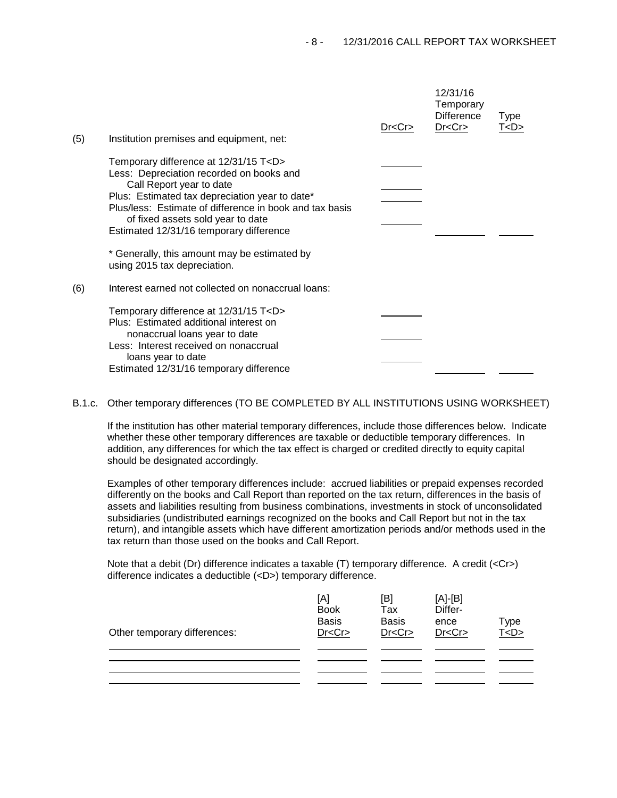| (5) | Institution premises and equipment, net:                                                                                                                                                                                                                                                                              | Dr < Cr | 12/31/16<br>Temporary<br><b>Difference</b><br>Dr < Cr | Type<br>T < D > |  |
|-----|-----------------------------------------------------------------------------------------------------------------------------------------------------------------------------------------------------------------------------------------------------------------------------------------------------------------------|---------|-------------------------------------------------------|-----------------|--|
|     | Temporary difference at 12/31/15 T <d><br/>Less: Depreciation recorded on books and<br/>Call Report year to date<br/>Plus: Estimated tax depreciation year to date*<br/>Plus/less: Estimate of difference in book and tax basis<br/>of fixed assets sold year to date<br/>Estimated 12/31/16 temporary difference</d> |         |                                                       |                 |  |
|     | * Generally, this amount may be estimated by<br>using 2015 tax depreciation.                                                                                                                                                                                                                                          |         |                                                       |                 |  |
| (6) | Interest earned not collected on nonaccrual loans:                                                                                                                                                                                                                                                                    |         |                                                       |                 |  |
|     | Temporary difference at 12/31/15 T <d><br/>Plus: Estimated additional interest on<br/>nonaccrual loans year to date<br/>Less: Interest received on nonaccrual<br/>loans year to date<br/>Estimated 12/31/16 temporary difference</d>                                                                                  |         |                                                       |                 |  |

B.1.c. Other temporary differences (TO BE COMPLETED BY ALL INSTITUTIONS USING WORKSHEET)

If the institution has other material temporary differences, include those differences below. Indicate whether these other temporary differences are taxable or deductible temporary differences. In addition, any differences for which the tax effect is charged or credited directly to equity capital should be designated accordingly.

Examples of other temporary differences include: accrued liabilities or prepaid expenses recorded differently on the books and Call Report than reported on the tax return, differences in the basis of assets and liabilities resulting from business combinations, investments in stock of unconsolidated subsidiaries (undistributed earnings recognized on the books and Call Report but not in the tax return), and intangible assets which have different amortization periods and/or methods used in the tax return than those used on the books and Call Report.

Note that a debit (Dr) difference indicates a taxable (T) temporary difference. A credit (<Cr>>Cr>) difference indicates a deductible (<D>) temporary difference.

|                              | [A]<br><b>Book</b><br><b>Basis</b> | [B]<br>Tax<br><b>Basis</b> | $[A]-[B]$<br>Differ-<br>ence | Type    |
|------------------------------|------------------------------------|----------------------------|------------------------------|---------|
| Other temporary differences: | Dr < Cr                            | Dr < Cr                    | Dr < Cr                      | T < D > |
|                              |                                    |                            |                              |         |
|                              |                                    |                            |                              |         |
|                              |                                    |                            |                              |         |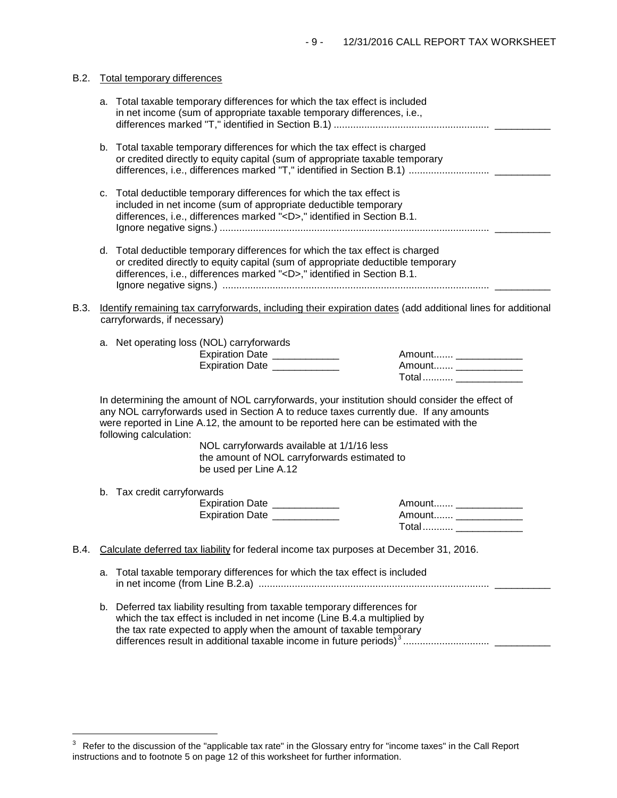| B.2.        |    | <b>Total temporary differences</b>                                                                                                                                                                                                                                                                        |
|-------------|----|-----------------------------------------------------------------------------------------------------------------------------------------------------------------------------------------------------------------------------------------------------------------------------------------------------------|
|             |    | a. Total taxable temporary differences for which the tax effect is included<br>in net income (sum of appropriate taxable temporary differences, i.e.,                                                                                                                                                     |
|             |    | b. Total taxable temporary differences for which the tax effect is charged<br>or credited directly to equity capital (sum of appropriate taxable temporary                                                                                                                                                |
|             | C. | Total deductible temporary differences for which the tax effect is<br>included in net income (sum of appropriate deductible temporary<br>differences, i.e., differences marked " <d>," identified in Section B.1.</d>                                                                                     |
|             |    | d. Total deductible temporary differences for which the tax effect is charged<br>or credited directly to equity capital (sum of appropriate deductible temporary<br>differences, i.e., differences marked " <d>," identified in Section B.1.</d>                                                          |
| <b>B.3.</b> |    | Identify remaining tax carryforwards, including their expiration dates (add additional lines for additional<br>carryforwards, if necessary)                                                                                                                                                               |
|             |    | a. Net operating loss (NOL) carryforwards<br>Expiration Date ____________<br>Amount _______________<br>Expiration Date ___________<br>Amount ________________<br>Total  _______________                                                                                                                   |
|             |    | In determining the amount of NOL carryforwards, your institution should consider the effect of<br>any NOL carryforwards used in Section A to reduce taxes currently due. If any amounts<br>were reported in Line A.12, the amount to be reported here can be estimated with the<br>following calculation: |
|             |    | NOL carryforwards available at 1/1/16 less<br>the amount of NOL carryforwards estimated to<br>be used per Line A.12                                                                                                                                                                                       |
|             |    | b. Tax credit carryforwards<br>Expiration Date ____________<br>Amount _____________<br>Expiration Date ____________<br>Amount ________________<br>Total                                                                                                                                                   |
| B.4.        |    | Calculate deferred tax liability for federal income tax purposes at December 31, 2016.                                                                                                                                                                                                                    |
|             | a. | Total taxable temporary differences for which the tax effect is included                                                                                                                                                                                                                                  |
|             |    | b. Deferred tax liability resulting from taxable temporary differences for<br>which the tax effect is included in net income (Line B.4.a multiplied by<br>the tax rate expected to apply when the amount of taxable temporary                                                                             |

i<br>I

<span id="page-8-0"></span> $3$  Refer to the discussion of the "applicable tax rate" in the Glossary entry for "income taxes" in the Call Report instructions and to footnote 5 on page 12 of this worksheet for further information.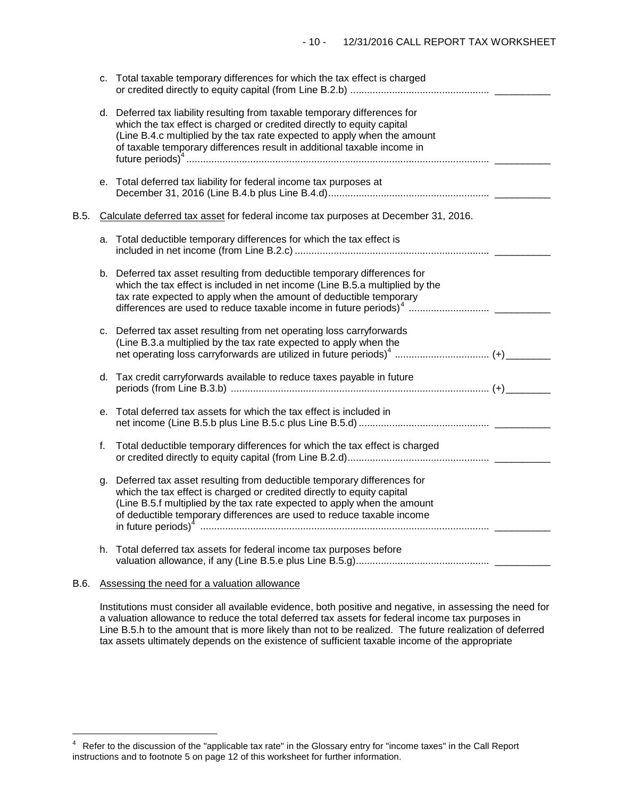|      |    | c. Total taxable temporary differences for which the tax effect is charged                                                                                                                                                                                                                                  |  |
|------|----|-------------------------------------------------------------------------------------------------------------------------------------------------------------------------------------------------------------------------------------------------------------------------------------------------------------|--|
|      |    | d. Deferred tax liability resulting from taxable temporary differences for<br>which the tax effect is charged or credited directly to equity capital<br>(Line B.4.c multiplied by the tax rate expected to apply when the amount<br>of taxable temporary differences result in additional taxable income in |  |
|      |    | e. Total deferred tax liability for federal income tax purposes at                                                                                                                                                                                                                                          |  |
| B.5. |    | Calculate deferred tax asset for federal income tax purposes at December 31, 2016.                                                                                                                                                                                                                          |  |
|      |    | a. Total deductible temporary differences for which the tax effect is                                                                                                                                                                                                                                       |  |
|      |    | b. Deferred tax asset resulting from deductible temporary differences for<br>which the tax effect is included in net income (Line B.5.a multiplied by the<br>tax rate expected to apply when the amount of deductible temporary                                                                             |  |
|      |    | c. Deferred tax asset resulting from net operating loss carryforwards<br>(Line B.3.a multiplied by the tax rate expected to apply when the<br>net operating loss carryforwards are utilized in future periods) <sup>4</sup> (+) _______                                                                     |  |
|      |    | d. Tax credit carryforwards available to reduce taxes payable in future                                                                                                                                                                                                                                     |  |
|      | е. | Total deferred tax assets for which the tax effect is included in                                                                                                                                                                                                                                           |  |
|      | f. | Total deductible temporary differences for which the tax effect is charged                                                                                                                                                                                                                                  |  |
|      | g. | Deferred tax asset resulting from deductible temporary differences for<br>which the tax effect is charged or credited directly to equity capital<br>(Line B.5.f multiplied by the tax rate expected to apply when the amount<br>of deductible temporary differences are used to reduce taxable income       |  |
|      |    | h. Total deferred tax assets for federal income tax purposes before                                                                                                                                                                                                                                         |  |

### B.6. Assessing the need for a valuation allowance

Institutions must consider all available evidence, both positive and negative, in assessing the need for a valuation allowance to reduce the total deferred tax assets for federal income tax purposes in Line B.5.h to the amount that is more likely than not to be realized. The future realization of deferred tax assets ultimately depends on the existence of sufficient taxable income of the appropriate

<span id="page-9-0"></span> $\overline{4}$ 4 Refer to the discussion of the "applicable tax rate" in the Glossary entry for "income taxes" in the Call Report instructions and to footnote 5 on page 12 of this worksheet for further information.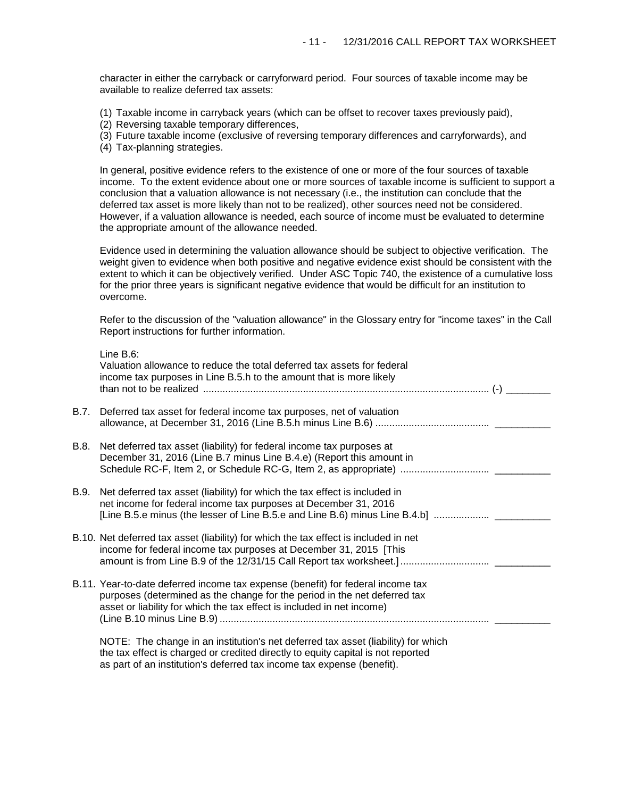character in either the carryback or carryforward period. Four sources of taxable income may be available to realize deferred tax assets:

- (1) Taxable income in carryback years (which can be offset to recover taxes previously paid),
- (2) Reversing taxable temporary differences,
- (3) Future taxable income (exclusive of reversing temporary differences and carryforwards), and
- (4) Tax-planning strategies.

In general, positive evidence refers to the existence of one or more of the four sources of taxable income. To the extent evidence about one or more sources of taxable income is sufficient to support a conclusion that a valuation allowance is not necessary (i.e., the institution can conclude that the deferred tax asset is more likely than not to be realized), other sources need not be considered. However, if a valuation allowance is needed, each source of income must be evaluated to determine the appropriate amount of the allowance needed.

Evidence used in determining the valuation allowance should be subject to objective verification. The weight given to evidence when both positive and negative evidence exist should be consistent with the extent to which it can be objectively verified. Under ASC Topic 740, the existence of a cumulative loss for the prior three years is significant negative evidence that would be difficult for an institution to overcome.

Refer to the discussion of the "valuation allowance" in the Glossary entry for "income taxes" in the Call Report instructions for further information.

|      | Line $B.6$ :<br>Valuation allowance to reduce the total deferred tax assets for federal<br>income tax purposes in Line B.5.h to the amount that is more likely                                                                         |
|------|----------------------------------------------------------------------------------------------------------------------------------------------------------------------------------------------------------------------------------------|
| B.7. | Deferred tax asset for federal income tax purposes, net of valuation                                                                                                                                                                   |
| B.8. | Net deferred tax asset (liability) for federal income tax purposes at<br>December 31, 2016 (Line B.7 minus Line B.4.e) (Report this amount in                                                                                          |
| B.9. | Net deferred tax asset (liability) for which the tax effect is included in<br>net income for federal income tax purposes at December 31, 2016                                                                                          |
|      | B.10. Net deferred tax asset (liability) for which the tax effect is included in net<br>income for federal income tax purposes at December 31, 2015 [This                                                                              |
|      | B.11. Year-to-date deferred income tax expense (benefit) for federal income tax<br>purposes (determined as the change for the period in the net deferred tax<br>asset or liability for which the tax effect is included in net income) |
|      | NOTE: The change in an institution's net deferred tax asset (liability) for which<br>the tax effect is charged or credited directly to equity capital is not reported                                                                  |

as part of an institution's deferred tax income tax expense (benefit).